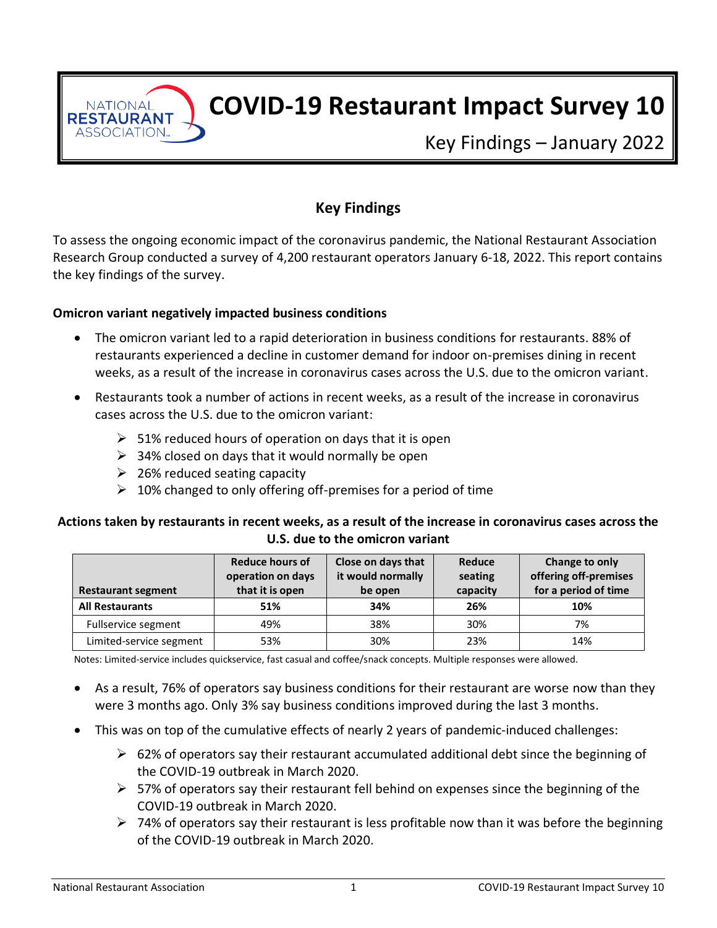**NATIONAL RESTAURANT** ASSOCIATION.

# **COVID-19 Restaurant Impact Survey 10**

Key Findings – January 2022

# **Key Findings**

To assess the ongoing economic impact of the coronavirus pandemic, the National Restaurant Association Research Group conducted a survey of 4,200 restaurant operators January 6-18, 2022. This report contains the key findings of the survey.

#### **Omicron variant negatively impacted business conditions**

- The omicron variant led to a rapid deterioration in business conditions for restaurants. 88% of restaurants experienced a decline in customer demand for indoor on-premises dining in recent weeks, as a result of the increase in coronavirus cases across the U.S. due to the omicron variant.
- Restaurants took a number of actions in recent weeks, as a result of the increase in coronavirus cases across the U.S. due to the omicron variant:
	- $\geq$  51% reduced hours of operation on days that it is open
	- $\geq$  34% closed on days that it would normally be open
	- $\geq$  26% reduced seating capacity
	- $\geq 10\%$  changed to only offering off-premises for a period of time

#### **Actions taken by restaurants in recent weeks, as a result of the increase in coronavirus cases across the U.S. due to the omicron variant**

| <b>Restaurant segment</b> | Reduce hours of<br>operation on days<br>that it is open | Close on days that<br>it would normally<br>be open | Reduce<br>seating<br>capacity | Change to only<br>offering off-premises<br>for a period of time |
|---------------------------|---------------------------------------------------------|----------------------------------------------------|-------------------------------|-----------------------------------------------------------------|
| <b>All Restaurants</b>    | 51%                                                     | 34%                                                | 26%                           | 10%                                                             |
| Fullservice segment       | 49%                                                     | 38%                                                | 30%                           | 7%                                                              |
| Limited-service segment   | 53%                                                     | 30%                                                | 23%                           | 14%                                                             |

Notes: Limited-service includes quickservice, fast casual and coffee/snack concepts. Multiple responses were allowed.

- As a result, 76% of operators say business conditions for their restaurant are worse now than they were 3 months ago. Only 3% say business conditions improved during the last 3 months.
- This was on top of the cumulative effects of nearly 2 years of pandemic-induced challenges:
	- $\triangleright$  62% of operators say their restaurant accumulated additional debt since the beginning of the COVID-19 outbreak in March 2020.
	- $\triangleright$  57% of operators say their restaurant fell behind on expenses since the beginning of the COVID-19 outbreak in March 2020.
	- $\triangleright$  74% of operators say their restaurant is less profitable now than it was before the beginning of the COVID-19 outbreak in March 2020.